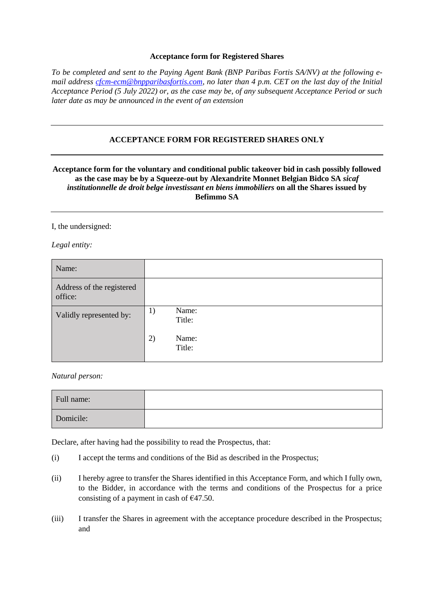## **Acceptance form for Registered Shares**

*To be completed and sent to the Paying Agent Bank (BNP Paribas Fortis SA/NV) at the following email address [cfcm-ecm@bnpparibasfortis.com,](mailto:cfcm-ecm@bnpparibasfortis.com) no later than 4 p.m. CET on the last day of the Initial Acceptance Period (5 July 2022) or, as the case may be, of any subsequent Acceptance Period or such later date as may be announced in the event of an extension*

## **ACCEPTANCE FORM FOR REGISTERED SHARES ONLY**

## **Acceptance form for the voluntary and conditional public takeover bid in cash possibly followed as the case may be by a Squeeze-out by Alexandrite Monnet Belgian Bidco SA** *sicaf institutionnelle de droit belge investissant en biens immobiliers* **on all the Shares issued by Befimmo SA**

I, the undersigned:

*Legal entity:*

| Name:                                |                       |
|--------------------------------------|-----------------------|
| Address of the registered<br>office: |                       |
| Validly represented by:              | Name:<br>1)<br>Title: |
|                                      | 2)<br>Name:<br>Title: |

*Natural person:*

| Full name: |  |
|------------|--|
| Domicile:  |  |

Declare, after having had the possibility to read the Prospectus, that:

- (i) I accept the terms and conditions of the Bid as described in the Prospectus;
- (ii) I hereby agree to transfer the Shares identified in this Acceptance Form, and which I fully own, to the Bidder, in accordance with the terms and conditions of the Prospectus for a price consisting of a payment in cash of  $\epsilon$ 47.50.
- (iii) I transfer the Shares in agreement with the acceptance procedure described in the Prospectus; and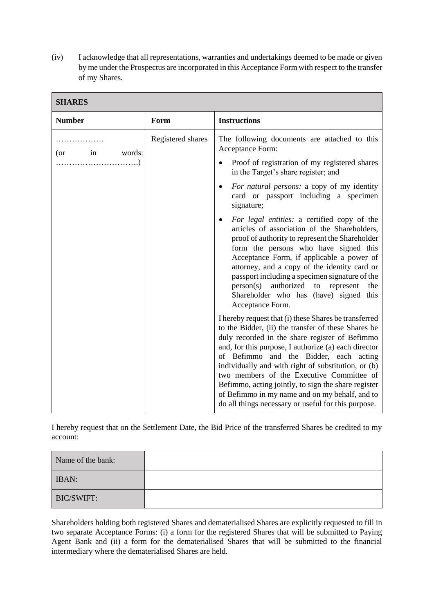(iv) I acknowledge that all representations, warranties and undertakings deemed to be made or given by me under the Prospectus are incorporated in this Acceptance Form with respect to the transfer of my Shares.

| эпакеэ                     |                   |                                                                                                                                                                                                                                                                                                                                                                                                                                                                                                                                      |  |
|----------------------------|-------------------|--------------------------------------------------------------------------------------------------------------------------------------------------------------------------------------------------------------------------------------------------------------------------------------------------------------------------------------------------------------------------------------------------------------------------------------------------------------------------------------------------------------------------------------|--|
| <b>Number</b>              | Form              | <b>Instructions</b>                                                                                                                                                                                                                                                                                                                                                                                                                                                                                                                  |  |
| .<br>$(or \t in$<br>words: | Registered shares | The following documents are attached to this<br>Acceptance Form:<br>Proof of registration of my registered shares<br>$\bullet$<br>in the Target's share register; and                                                                                                                                                                                                                                                                                                                                                                |  |
|                            |                   | For natural persons: a copy of my identity<br>$\bullet$<br>card or passport including a specimen<br>signature;                                                                                                                                                                                                                                                                                                                                                                                                                       |  |
|                            |                   | For legal entities: a certified copy of the<br>articles of association of the Shareholders,<br>proof of authority to represent the Shareholder<br>form the persons who have signed this<br>Acceptance Form, if applicable a power of<br>attorney, and a copy of the identity card or<br>passport including a specimen signature of the<br>person(s) authorized to represent<br>the<br>Shareholder who has (have) signed this<br>Acceptance Form.                                                                                     |  |
|                            |                   | I hereby request that (i) these Shares be transferred<br>to the Bidder, (ii) the transfer of these Shares be<br>duly recorded in the share register of Befimmo<br>and, for this purpose, I authorize (a) each director<br>of Befimmo and the Bidder, each acting<br>individually and with right of substitution, or (b)<br>two members of the Executive Committee of<br>Befimmo, acting jointly, to sign the share register<br>of Befimmo in my name and on my behalf, and to<br>do all things necessary or useful for this purpose. |  |

## **SHARES**

I hereby request that on the Settlement Date, the Bid Price of the transferred Shares be credited to my account:

| Name of the bank: |  |
|-------------------|--|
| <b>IBAN:</b>      |  |
| BIC/SWIFT:        |  |

Shareholders holding both registered Shares and dematerialised Shares are explicitly requested to fill in two separate Acceptance Forms: (i) a form for the registered Shares that will be submitted to Paying Agent Bank and (ii) a form for the dematerialised Shares that will be submitted to the financial intermediary where the dematerialised Shares are held.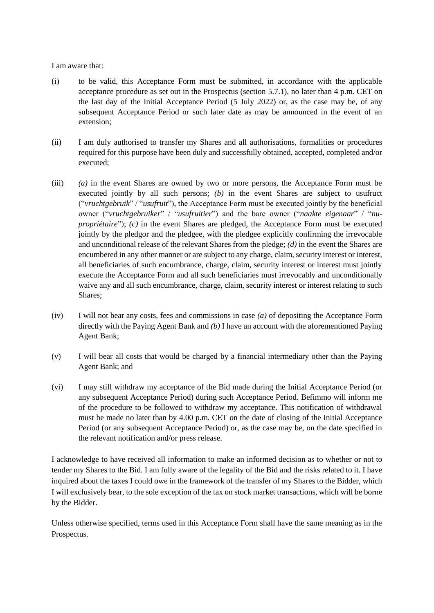I am aware that:

- (i) to be valid, this Acceptance Form must be submitted, in accordance with the applicable acceptance procedure as set out in the Prospectus (section 5.7.1), no later than 4 p.m. CET on the last day of the Initial Acceptance Period (5 July 2022) or, as the case may be, of any subsequent Acceptance Period or such later date as may be announced in the event of an extension;
- (ii) I am duly authorised to transfer my Shares and all authorisations, formalities or procedures required for this purpose have been duly and successfully obtained, accepted, completed and/or executed;
- (iii) *(a)* in the event Shares are owned by two or more persons, the Acceptance Form must be executed jointly by all such persons; *(b)* in the event Shares are subject to usufruct ("*vruchtgebruik*" / "*usufruit*"), the Acceptance Form must be executed jointly by the beneficial owner ("*vruchtgebruiker*" / "*usufruitier*") and the bare owner ("*naakte eigenaar*" / "*nupropriétaire*"); *(c)* in the event Shares are pledged, the Acceptance Form must be executed jointly by the pledgor and the pledgee, with the pledgee explicitly confirming the irrevocable and unconditional release of the relevant Shares from the pledge; *(d)* in the event the Shares are encumbered in any other manner or are subject to any charge, claim, security interest or interest, all beneficiaries of such encumbrance, charge, claim, security interest or interest must jointly execute the Acceptance Form and all such beneficiaries must irrevocably and unconditionally waive any and all such encumbrance, charge, claim, security interest or interest relating to such Shares;
- (iv) I will not bear any costs, fees and commissions in case *(a)* of depositing the Acceptance Form directly with the Paying Agent Bank and *(b)* I have an account with the aforementioned Paying Agent Bank;
- (v) I will bear all costs that would be charged by a financial intermediary other than the Paying Agent Bank; and
- (vi) I may still withdraw my acceptance of the Bid made during the Initial Acceptance Period (or any subsequent Acceptance Period) during such Acceptance Period. Befimmo will inform me of the procedure to be followed to withdraw my acceptance. This notification of withdrawal must be made no later than by 4.00 p.m. CET on the date of closing of the Initial Acceptance Period (or any subsequent Acceptance Period) or, as the case may be, on the date specified in the relevant notification and/or press release.

I acknowledge to have received all information to make an informed decision as to whether or not to tender my Shares to the Bid. I am fully aware of the legality of the Bid and the risks related to it. I have inquired about the taxes I could owe in the framework of the transfer of my Shares to the Bidder, which I will exclusively bear, to the sole exception of the tax on stock market transactions, which will be borne by the Bidder.

Unless otherwise specified, terms used in this Acceptance Form shall have the same meaning as in the Prospectus.